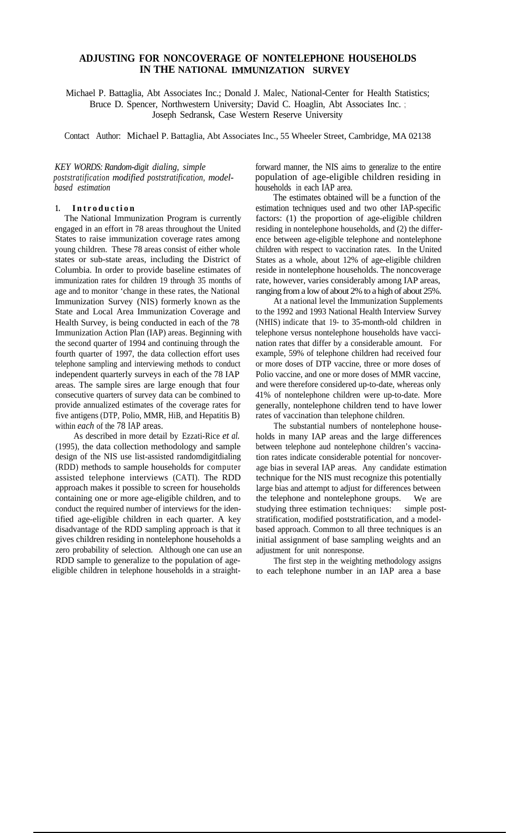# **ADJUSTING FOR NONCOVERAGE OF NONTELEPHONE HOUSEHOLDS IN THE NATIONAL IMMUNIZATION SURVEY**

Michael P. Battaglia, Abt Associates Inc.; Donald J. Malec, National-Center for Health Statistics; Bruce D. Spencer, Northwestern University; David C. Hoaglin, Abt Associates Inc. ; Joseph Sedransk, Case Western Reserve University

Contact Author: Michael P. Battaglia, Abt Associates Inc., 55 Wheeler Street, Cambridge, MA 02138

*KEY WORDS: Random-digit dialing, simple poststratification modified poststratification, modelbased estimation*

## **1. Introduction**

The National Immunization Program is currently engaged in an effort in 78 areas throughout the United States to raise immunization coverage rates among young children. These 78 areas consist of either whole states or sub-state areas, including the District of Columbia. In order to provide baseline estimates of immunization rates for children 19 through 35 months of age and to monitor 'change in these rates, the National Immunization Survey (NIS) formerly known as the State and Local Area Immunization Coverage and Health Survey, is being conducted in each of the 78 Immunization Action Plan (IAP) areas. Beginning with the second quarter of 1994 and continuing through the fourth quarter of 1997, the data collection effort uses telephone sampling and interviewing methods to conduct independent quarterly surveys in each of the 78 IAP areas. The sample sires are large enough that four consecutive quarters of survey data can be combined to provide annualized estimates of the coverage rates for five antigens (DTP, Polio, MMR, HiB, and Hepatitis B) within *each* of the 78 IAP areas.

As described in more detail by Ezzati-Rice *et al.* (1995), the data collection methodology and sample design of the NIS use list-assisted randomdigitdialing (RDD) methods to sample households for computer assisted telephone interviews (CATI). The RDD approach makes it possible to screen for households containing one or more age-eligible children, and to conduct the required number of interviews for the identified age-eligible children in each quarter. A key disadvantage of the RDD sampling approach is that it gives children residing in nontelephone households a zero probability of selection. Although one can use an RDD sample to generalize to the population of ageeligible children in telephone households in a straightforward manner, the NIS aims to generalize to the entire population of age-eligible children residing in households in each IAP area.

The estimates obtained will be a function of the estimation techniques used and two other IAP-specific factors: (1) the proportion of age-eligible children residing in nontelephone households, and (2) the difference between age-eligible telephone and nontelephone children with respect to vaccination rates. In the United States as a whole, about 12% of age-eligible children reside in nontelephone households. The noncoverage rate, however, varies considerably among IAP areas, ranging from a low of about 2% to a high of about 25%.

At a national level the Immunization Supplements to the 1992 and 1993 National Health Interview Survey (NHIS) indicate that 19- to 35-month-old children in telephone versus nontelephone households have vaccination rates that differ by a considerable amount. For example, 59% of telephone children had received four or more doses of DTP vaccine, three or more doses of Polio vaccine, and one or more doses of MMR vaccine, and were therefore considered up-to-date, whereas only 41% of nontelephone children were up-to-date. More generally, nontelephone children tend to have lower rates of vaccination than telephone children.

The substantial numbers of nontelephone households in many IAP areas and the large differences between telephone aud nontelephone children's vaccination rates indicate considerable potential for noncoverage bias in several IAP areas. Any candidate estimation technique for the NIS must recognize this potentially large bias and attempt to adjust for differences between the telephone and nontelephone groups. We are studying three estimation techniques: simple poststratification, modified poststratification, and a modelbased approach. Common to all three techniques is an initial assignment of base sampling weights and an adjustment for unit nonresponse.

The first step in the weighting methodology assigns to each telephone number in an IAP area a base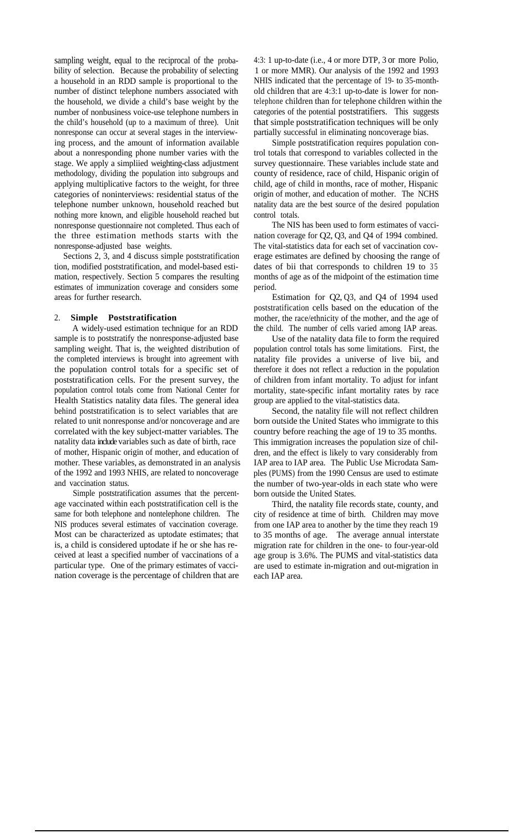sampling weight, equal to the reciprocal of the probability of selection. Because the probability of selecting a household in an RDD sample is proportional to the number of distinct telephone numbers associated with the household, we divide a child's base weight by the number of nonbusiness voice-use telephone numbers in the child's household (up to a maximum of three). Unit nonresponse can occur at several stages in the interviewing process, and the amount of information available about a nonresponding phone number varies with the stage. We apply a simpliied weighting-class adjustment methodology, dividing the population into subgroups and applying multiplicative factors to the weight, for three categories of noninterviews: residential status of the telephone number unknown, household reached but nothing more known, and eligible household reached but nonresponse questionnaire not completed. Thus each of the three estimation methods starts with the nonresponse-adjusted base weights.

Sections 2, 3, and 4 discuss simple poststratification tion, modified poststratification, and model-based estimation, respectively. Section 5 compares the resulting estimates of immunization coverage and considers some areas for further research.

### 2. **Simple Poststratification**

A widely-used estimation technique for an RDD sample is to poststratify the nonresponse-adjusted base sampling weight. That is, the weighted distribution of the completed interviews is brought into agreement with the population control totals for a specific set of poststratification cells. For the present survey, the population control totals come from National Center for Health Statistics natality data files. The general idea behind poststratification is to select variables that are related to unit nonresponse and/or noncoverage and are correlated with the key subject-matter variables. The natality data include variables such as date of birth, race of mother, Hispanic origin of mother, and education of mother. These variables, as demonstrated in an analysis of the 1992 and 1993 NHIS, are related to noncoverage and vaccination status.

Simple poststratification assumes that the percentage vaccinated within each poststratification cell is the same for both telephone and nontelephone children. The NIS produces several estimates of vaccination coverage. Most can be characterized as uptodate estimates; that is, a child is considered uptodate if he or she has received at least a specified number of vaccinations of a particular type. One of the primary estimates of vaccination coverage is the percentage of children that are 4:3: 1 up-to-date (i.e., 4 or more DTP, 3 or more Polio, 1 or more MMR). Our analysis of the 1992 and 1993 NHIS indicated that the percentage of 19- to 35-monthold children that are 4:3:1 up-to-date is lower for nontelephone children than for telephone children within the categories of the potential poststratifiers. This suggests that simple poststratification techniques will be only partially successful in eliminating noncoverage bias.

Simple poststratification requires population control totals that correspond to variables collected in the survey questionnaire. These variables include state and county of residence, race of child, Hispanic origin of child, age of child in months, race of mother, Hispanic origin of mother, and education of mother. The NCHS natality data are the best source of the desired population control totals.

The NIS has been used to form estimates of vaccination coverage for Q2, Q3, and Q4 of 1994 combined. The vital-statistics data for each set of vaccination coverage estimates are defined by choosing the range of dates of bii that corresponds to children 19 to 35 months of age as of the midpoint of the estimation time period.

Estimation for Q2, Q3, and Q4 of 1994 used poststratification cells based on the education of the mother, the race/ethnicity of the mother, and the age of the child. The number of cells varied among IAP areas.

Use of the natality data file to form the required population control totals has some limitations. First, the natality file provides a universe of live bii, and therefore it does not reflect a reduction in the population of children from infant mortality. To adjust for infant mortality, state-specific infant mortality rates by race group are applied to the vital-statistics data.

Second, the natality file will not reflect children born outside the United States who immigrate to this country before reaching the age of 19 to 35 months. This immigration increases the population size of children, and the effect is likely to vary considerably from IAP area to IAP area. The Public Use Microdata Samples (PUMS) from the 1990 Census are used to estimate the number of two-year-olds in each state who were born outside the United States.

Third, the natality file records state, county, and city of residence at time of birth. Children may move from one IAP area to another by the time they reach 19 to 35 months of age. The average annual interstate migration rate for children in the one- to four-year-old age group is 3.6%. The PUMS and vital-statistics data are used to estimate in-migration and out-migration in each IAP area.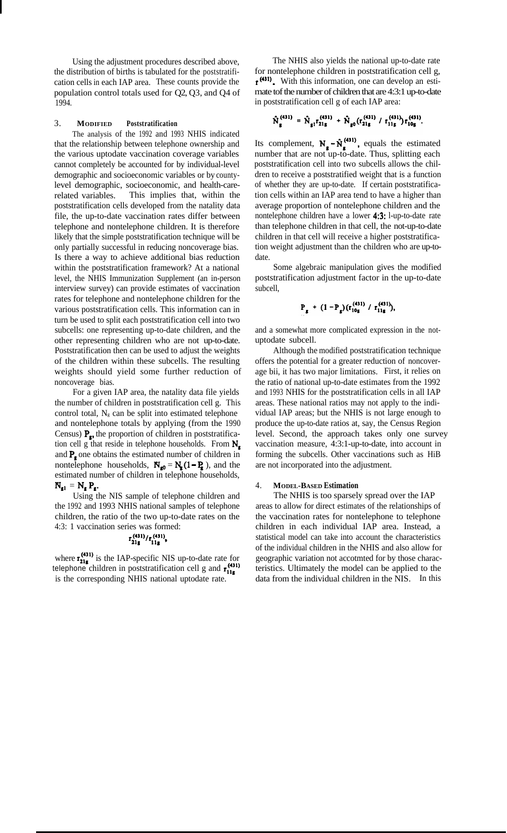Using the adjustment procedures described above, the distribution of births is tabulated for the poststratification cells in each IAP area. These counts provide the population control totals used for Q2, Q3, and Q4 of 1994.

## 3. **MODIFIED Poststratification**

The analysis of the 1992 and 1993 NHIS indicated that the relationship between telephone ownership and the various uptodate vaccination coverage variables cannot completely be accounted for by individual-level demographic and socioeconomic variables or by countylevel demographic, socioeconomic, and health-carerelated variables. This implies that, within the poststratification cells developed from the natality data file, the up-to-date vaccination rates differ between telephone and nontelephone children. It is therefore likely that the simple poststratification technique will be only partially successful in reducing noncoverage bias. Is there a way to achieve additional bias reduction within the poststratification framework? At a national level, the NHIS Immunization Supplement (an in-person interview survey) can provide estimates of vaccination rates for telephone and nontelephone children for the various poststratification cells. This information can in turn be used to split each poststratification cell into two subcells: one representing up-to-date children, and the other representing children who are not up-to-date. Poststratification then can be used to adjust the weights of the children within these subcells. The resulting weights should yield some further reduction of noncoverage bias.

For a given IAP area, the natality data file yields the number of children in poststratification cell g. This control total,  $N_g$  can be split into estimated telephone and nontelephone totals by applying (from the 1990 Census)  $P_{\rm g}$ , the proportion of children in poststratification cell g that reside in telephone households. From  $N_{\rm s}$ and  $P_{\rm s}$  one obtains the estimated number of children in nontelephone households,  $N_{\text{g0}} = N_{\text{g}}(1 - P_{\text{g}})$ , and the estimated number of children in telephone households,  $N_{\mathbf{g}1} = N_{\mathbf{g}} P_{\mathbf{g}}.$ 

Using the NIS sample of telephone children and the 1992 and 1993 NHIS national samples of telephone children, the ratio of the two up-to-date rates on the 4:3: 1 vaccination series was formed:

$$
r_{21g}^{(431)}/r_{11g}^{(431)},
$$

where  $\mathbf{r}_{21e}^{(431)}$  is the IAP-specific NIS up-to-date rate for telephone children in poststratification cell g and  $r_{11}^{(3)}$ is the corresponding NHIS national uptodate rate.

The NHIS also yields the national up-to-date rate for nontelephone children in poststratification cell g,  $t^{(431)}$ . With this information, one can develop an estimate tof the number of children that are 4:3:1 up-to-date in poststratification cell g of each IAP area:

$$
\hat{N}_{g}^{(431)} = \hat{N}_{g1}r_{21g}^{(431)} + \hat{N}_{g0}(r_{21g}^{(431)}/r_{11g}^{(431)})r_{10g}^{(431)}.
$$

Its complement,  $N_e - \hat{N}_e^{(431)}$ , equals the estimated number that are not up-to-date. Thus, splitting each poststratification cell into two subcells allows the children to receive a poststratified weight that is a function of whether they are up-to-date. If certain poststratification cells within an IAP area tend to have a higher than average proportion of nontelephone children and the nontelephone children have a lower 4:3: l-up-to-date rate than telephone children in that cell, the not-up-to-date children in that cell will receive a higher poststratification weight adjustment than the children who are up-todate.

Some algebraic manipulation gives the modified poststratification adjustment factor in the up-to-date subcell,

$$
P_g + (1 - P_g)(r_{10g}^{(431)} / r_{11g}^{(431)}),
$$

and a somewhat more complicated expression in the notuptodate subcell.

Although the modified poststratification technique offers the potential for a greater reduction of noncoverage bii, it has two major limitations. First, it relies on the ratio of national up-to-date estimates from the 1992 and 1993 NHIS for the poststratification cells in all IAP areas. These national ratios may not apply to the individual IAP areas; but the NHIS is not large enough to produce the up-to-date ratios at, say, the Census Region level. Second, the approach takes only one survey vaccination measure, 4:3:1-up-to-date, into account in forming the subcells. Other vaccinations such as HiB are not incorporated into the adjustment.

### 4. **MODEL-BASED Estimation**

The NHIS is too sparsely spread over the IAP areas to allow for direct estimates of the relationships of the vaccination rates for nontelephone to telephone children in each individual IAP area. Instead, a statistical model can take into account the characteristics of the individual children in the NHIS and also allow for geographic variation not accotmted for by those characteristics. Ultimately the model can be applied to the data from the individual children in the NIS. In this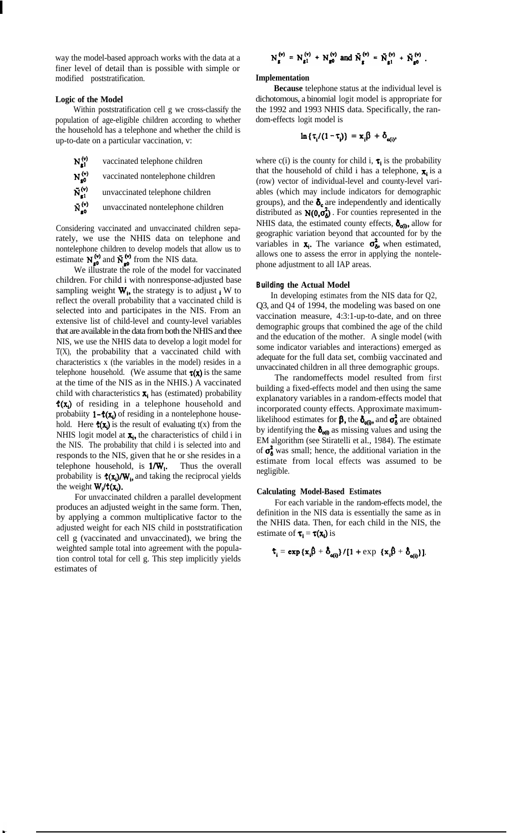way the model-based approach works with the data at a finer level of detail than is possible with simple or modified poststratification.

## **Logic of the Model**

Within poststratification cell g we cross-classify the population of age-eligible children according to whether the household has a telephone and whether the child is up-to-date on a particular vaccination, v:

- $N_{\rm gl}^{(v)}$ vaccinated telephone children  $N_{g0}^{(v)}$ vaccinated nontelephone children
- $\tilde{N}_{\rm g1}^{\rm (v)}$ unvaccinated telephone children
- $\tilde{N}_{g0}^{(v)}$ unvaccinated nontelephone children

Considering vaccinated and unvaccinated children separately, we use the NHIS data on telephone and nontelephone children to develop models that allow us to estimate  $N_{\rm g0}^{(\nu)}$  and  $\tilde{N}_{\rm g0}^{(\nu)}$  from the NIS data.

We illustrate the role of the model for vaccinated children. For child i with nonresponse-adjusted base sampling weight  $W_i$ , the strategy is to adjust  $_i$  W to reflect the overall probability that a vaccinated child is selected into and participates in the NIS. From an extensive list of child-level and county-level variables that are available in the data from both the NHIS and thee NIS, we use the NHIS data to develop a logit model for T(X), the probability that a vaccinated child with characteristics x (the variables in the model) resides in a telephone household. (We assume that  $\tau(x)$  is the same at the time of the NIS as in the NHIS.) A vaccinated child with characteristics  $\mathbf{x}_i$  has (estimated) probability  $f(x_i)$  of residing in a telephone household and probabiity  $1-\hat{\tau}(x)$  of residing in a nontelephone household. Here  $\hat{\tau}(x_i)$  is the result of evaluating  $t(x)$  from the NHIS logit model at  $\mathbf{x}_i$ , the characteristics of child i in the NIS. The probability that child i is selected into and responds to the NIS, given that he or she resides in a telephone household, is  $1/W_i$ . Thus the overall probability is  $\hat{\tau}(x_i)/W_i$ , and taking the reciprocal yields the weight  $W_i/f(x_i)$ .

For unvaccinated children a parallel development produces an adjusted weight in the same form. Then, by applying a common multiplicative factor to the adjusted weight for each NIS child in poststratification cell g (vaccinated and unvaccinated), we bring the weighted sample total into agreement with the population control total for cell g. This step implicitly yields estimates of

$$
N_g^{(v)} = N_{g1}^{(v)} + N_{g0}^{(v)}
$$
 and  $\tilde{N}_g^{(v)} = \tilde{N}_{g1}^{(v)} + \tilde{N}_{g0}^{(v)}$ .

### **Implementation**

**Because** telephone status at the individual level is dichotomous, a binomial logit model is appropriate for the 1992 and 1993 NHIS data. Specifically, the random-effects logit model is

$$
\ln \{ \tau_i / (1 - \tau_i) \} = x_i \beta + \delta_{\mathbf{e}(i)}
$$

where c(i) is the county for child i,  $\tau_i$  is the probability that the household of child i has a telephone,  $\mathbf{x}_i$  is a (row) vector of individual-level and county-level variables (which may include indicators for demographic groups), and the  $\delta_c$  are independently and identically distributed as  $N(0, \sigma_0^2)$ . For counties represented in the NHIS data, the estimated county effects,  $\delta_{\alpha(1)}$ , allow for geographic variation beyond that accounted for by the variables in  $\mathbf{x}_i$ . The variance  $\sigma_{\delta}^2$ , when estimated, allows one to assess the error in applying the nontelephone adjustment to all IAP areas.

### **Building the Actual Model**

In developing estimates from the NIS data for Q2, Q3, and Q4 of 1994, the modeling was based on one vaccination measure, 4:3:1-up-to-date, and on three demographic groups that combined the age of the child and the education of the mother. A single model (with some indicator variables and interactions) emerged as adequate for the full data set, combiig vaccinated and unvaccinated children in all three demographic groups.

The randomeffects model resulted from first building a fixed-effects model and then using the same explanatory variables in a random-effects model that incorporated county effects. Approximate maximumlikelihood estimates for  $\beta$ , the  $\delta_{\alpha}$ , and  $\sigma_{\delta}^2$  are obtained by identifying the  $\delta_{\alpha 0}$  as missing values and using the EM algorithm (see Stiratelli et al., 1984). The estimate of  $\sigma_{\delta}^2$  was small; hence, the additional variation in the estimate from local effects was assumed to be negligible.

#### **Calculating Model-Based Estimates**

For each variable in the random-effects model, the definition in the NIS data is essentially the same as in the NHIS data. Then, for each child in the NIS, the estimate of  $\tau_i = \tau(x_i)$  is

$$
\mathbf{t}_{i} = \exp \left\{ \mathbf{x}_{i} \boldsymbol{\beta} + \boldsymbol{\delta}_{\mathbf{o}(i)} \right\} / [1 + \exp \left\{ \mathbf{x}_{i} \boldsymbol{\beta} + \boldsymbol{\delta}_{\mathbf{o}(i)} \right\} ]
$$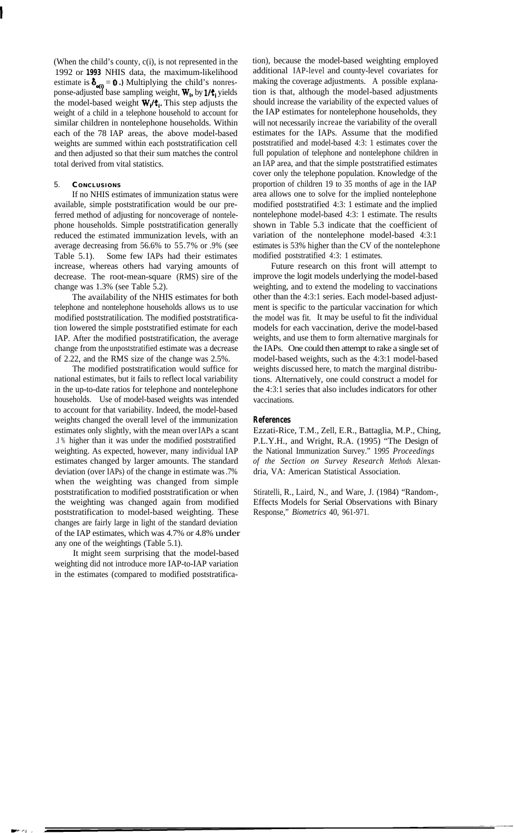(When the child's county, c(i), is not represented in the 1992 or **1993** NHIS data, the maximum-likelihood estimate is  $\delta_{\mathbf{q}(\mathbf{i})} = \mathbf{0}$ .) Multiplying the child's nonresponse-adjusted base sampling weight, W,, by **l/t,** yields the model-based weight  $W_i/f_i$ . This step adjusts the weight of a child in a telephone household to account for similar children in nontelephone households. Within each of the 78 IAP areas, the above model-based weights are summed within each poststratification cell and then adjusted so that their sum matches the control total derived from vital statistics.

## 5. **C ONCLUSIONS**

If no NHIS estimates of immunization status were available, simple poststratification would be our preferred method of adjusting for noncoverage of nontelephone households. Simple poststratification generally reduced the estimated immunization levels, with an average decreasing from 56.6% to 55.7% or .9% (see Table 5.1). Some few IAPs had their estimates increase, whereas others had varying amounts of decrease. The root-mean-square (RMS) sire of the change was 1.3% (see Table 5.2).

The availability of the NHIS estimates for both telephone and nontelephone households allows us to use modified poststratilication. The modified poststratification lowered the simple poststratified estimate for each IAP. After the modified poststratification, the average change from the unpoststratified estimate was a decrease of 2.22, and the RMS size of the change was 2.5%.

The modified poststratification would suffice for national estimates, but it fails to reflect local variability in the up-to-date ratios for telephone and nontelephone households. Use of model-based weights was intended to account for that variability. Indeed, the model-based weights changed the overall level of the immunization estimates only slightly, with the mean over IAPs a scant .l % higher than it was under the modified poststratified weighting. As expected, however, many individual IAP estimates changed by larger amounts. The standard deviation (over IAPs) of the change in estimate was .7% when the weighting was changed from simple poststratification to modified poststratification or when the weighting was changed again from modified poststratification to model-based weighting. These changes are fairly large in light of the standard deviation of the IAP estimates, which was 4.7% or 4.8% under any one of the weightings (Table 5.1).

It might seem surprising that the model-based weighting did not introduce more IAP-to-IAP variation in the estimates (compared to modified poststratification), because the model-based weighting employed additional IAP-level and county-level covariates for making the coverage adjustments. A possible explanation is that, although the model-based adjustments should increase the variability of the expected values of the IAP estimates for nontelephone households, they will not necessarily increae the variability of the overall estimates for the IAPs. Assume that the modified poststratified and model-based 4:3: 1 estimates cover the full population of telephone and nontelephone children in an IAP area, and that the simple poststratified estimates cover only the telephone population. Knowledge of the proportion of children 19 to 35 months of age in the IAP area allows one to solve for the implied nontelephone modified poststratified 4:3: 1 estimate and the implied nontelephone model-based 4:3: 1 estimate. The results shown in Table 5.3 indicate that the coefficient of variation of the nontelephone model-based 4:3:1 estimates is 53% higher than the CV of the nontelephone modified poststratified 4:3: 1 estimates.

Future research on this front will attempt to improve the logit models underlying the model-based weighting, and to extend the modeling to vaccinations other than the 4:3:1 series. Each model-based adjustment is specific to the particular vaccination for which the model was fit. It may be useful to fit the individual models for each vaccination, derive the model-based weights, and use them to form alternative marginals for the IAPs. One could then attempt to rake a single set of model-based weights, such as the 4:3:1 model-based weights discussed here, to match the marginal distributions. Alternatively, one could construct a model for the 4:3:1 series that also includes indicators for other vaccinations.

### **References**

Ezzati-Rice, T.M., Zell, E.R., Battaglia, M.P., Ching, P.L.Y.H., and Wright, R.A. (1995) "The Design of the National Immunization Survey." 1*995 Proceedings of the Section on Survey Research Methods* Alexandria, VA: American Statistical Association.

Stiratelli, R., Laird, N., and Ware, J. (1984) "Random-, Effects Models for Serial Observations with Binary Response," *Biometrics* 40, 961-971.